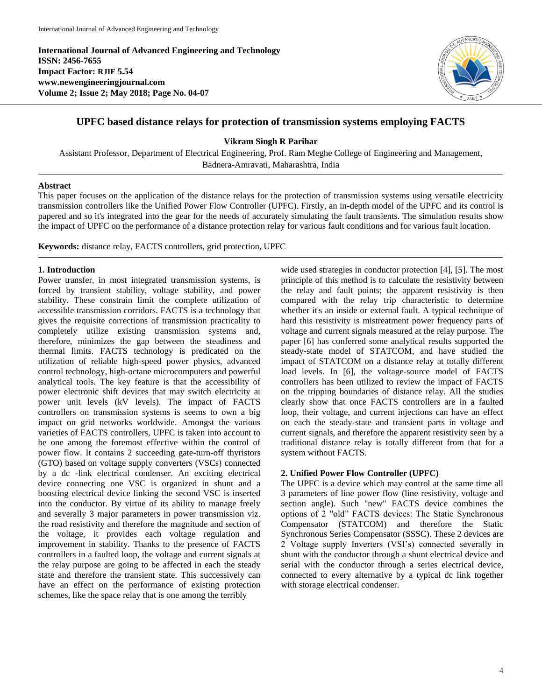**International Journal of Advanced Engineering and Technology ISSN: 2456-7655 Impact Factor: RJIF 5.54 www.newengineeringjournal.com Volume 2; Issue 2; May 2018; Page No. 04-07**



# **UPFC based distance relays for protection of transmission systems employing FACTS**

**Vikram Singh R Parihar**

Assistant Professor, Department of Electrical Engineering, Prof. Ram Meghe College of Engineering and Management, Badnera-Amravati, Maharashtra, India

### **Abstract**

This paper focuses on the application of the distance relays for the protection of transmission systems using versatile electricity transmission controllers like the Unified Power Flow Controller (UPFC). Firstly, an in-depth model of the UPFC and its control is papered and so it's integrated into the gear for the needs of accurately simulating the fault transients. The simulation results show the impact of UPFC on the performance of a distance protection relay for various fault conditions and for various fault location.

**Keywords:** distance relay, FACTS controllers, grid protection, UPFC

### **1. Introduction**

Power transfer, in most integrated transmission systems, is forced by transient stability, voltage stability, and power stability. These constrain limit the complete utilization of accessible transmission corridors. FACTS is a technology that gives the requisite corrections of transmission practicality to completely utilize existing transmission systems and, therefore, minimizes the gap between the steadiness and thermal limits. FACTS technology is predicated on the utilization of reliable high-speed power physics, advanced control technology, high-octane microcomputers and powerful analytical tools. The key feature is that the accessibility of power electronic shift devices that may switch electricity at power unit levels (kV levels). The impact of FACTS controllers on transmission systems is seems to own a big impact on grid networks worldwide. Amongst the various varieties of FACTS controllers, UPFC is taken into account to be one among the foremost effective within the control of power flow. It contains 2 succeeding gate-turn-off thyristors (GTO) based on voltage supply converters (VSCs) connected by a dc -link electrical condenser. An exciting electrical device connecting one VSC is organized in shunt and a boosting electrical device linking the second VSC is inserted into the conductor. By virtue of its ability to manage freely and severally 3 major parameters in power transmission viz. the road resistivity and therefore the magnitude and section of the voltage, it provides each voltage regulation and improvement in stability. Thanks to the presence of FACTS controllers in a faulted loop, the voltage and current signals at the relay purpose are going to be affected in each the steady state and therefore the transient state. This successively can have an effect on the performance of existing protection schemes, like the space relay that is one among the terribly

wide used strategies in conductor protection [4], [5]. The most principle of this method is to calculate the resistivity between the relay and fault points; the apparent resistivity is then compared with the relay trip characteristic to determine whether it's an inside or external fault. A typical technique of hard this resistivity is mistreatment power frequency parts of voltage and current signals measured at the relay purpose. The paper [6] has conferred some analytical results supported the steady-state model of STATCOM, and have studied the impact of STATCOM on a distance relay at totally different load levels. In [6], the voltage-source model of FACTS controllers has been utilized to review the impact of FACTS on the tripping boundaries of distance relay. All the studies clearly show that once FACTS controllers are in a faulted loop, their voltage, and current injections can have an effect on each the steady-state and transient parts in voltage and current signals, and therefore the apparent resistivity seen by a traditional distance relay is totally different from that for a system without FACTS.

# **2. Unified Power Flow Controller (UPFC)**

The UPFC is a device which may control at the same time all 3 parameters of line power flow (line resistivity, voltage and section angle). Such "new" FACTS device combines the options of 2 "old" FACTS devices: The Static Synchronous Compensator (STATCOM) and therefore the Static Synchronous Series Compensator (SSSC). These 2 devices are 2 Voltage supply Inverters (VSI's) connected severally in shunt with the conductor through a shunt electrical device and serial with the conductor through a series electrical device, connected to every alternative by a typical dc link together with storage electrical condenser.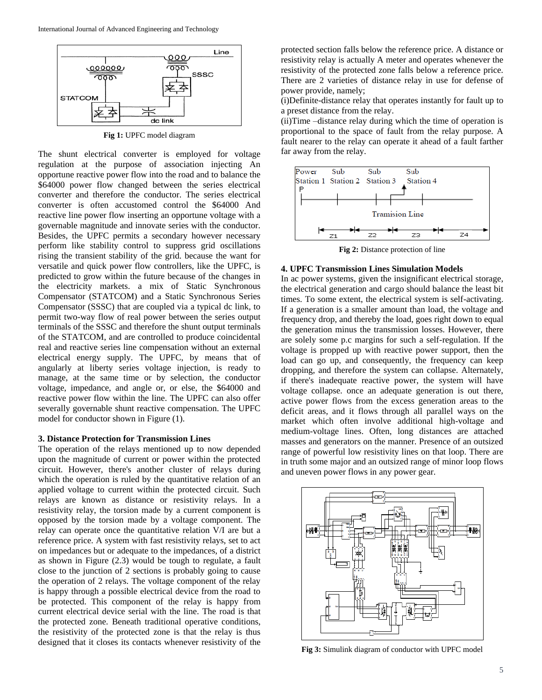

**Fig 1:** UPFC model diagram

The shunt electrical converter is employed for voltage regulation at the purpose of association injecting An opportune reactive power flow into the road and to balance the \$64000 power flow changed between the series electrical converter and therefore the conductor. The series electrical converter is often accustomed control the \$64000 And reactive line power flow inserting an opportune voltage with a governable magnitude and innovate series with the conductor. Besides, the UPFC permits a secondary however necessary perform like stability control to suppress grid oscillations rising the transient stability of the grid. because the want for versatile and quick power flow controllers, like the UPFC, is predicted to grow within the future because of the changes in the electricity markets. a mix of Static Synchronous Compensator (STATCOM) and a Static Synchronous Series Compensator (SSSC) that are coupled via a typical dc link, to permit two-way flow of real power between the series output terminals of the SSSC and therefore the shunt output terminals of the STATCOM, and are controlled to produce coincidental real and reactive series line compensation without an external electrical energy supply. The UPFC, by means that of angularly at liberty series voltage injection, is ready to manage, at the same time or by selection, the conductor voltage, impedance, and angle or, or else, the \$64000 and reactive power flow within the line. The UPFC can also offer severally governable shunt reactive compensation. The UPFC model for conductor shown in Figure (1).

#### **3. Distance Protection for Transmission Lines**

The operation of the relays mentioned up to now depended upon the magnitude of current or power within the protected circuit. However, there's another cluster of relays during which the operation is ruled by the quantitative relation of an applied voltage to current within the protected circuit. Such relays are known as distance or resistivity relays. In a resistivity relay, the torsion made by a current component is opposed by the torsion made by a voltage component. The relay can operate once the quantitative relation V/I are but a reference price. A system with fast resistivity relays, set to act on impedances but or adequate to the impedances, of a district as shown in Figure (2.3) would be tough to regulate, a fault close to the junction of 2 sections is probably going to cause the operation of 2 relays. The voltage component of the relay is happy through a possible electrical device from the road to be protected. This component of the relay is happy from current electrical device serial with the line. The road is that the protected zone. Beneath traditional operative conditions, the resistivity of the protected zone is that the relay is thus designed that it closes its contacts whenever resistivity of the

protected section falls below the reference price. A distance or resistivity relay is actually A meter and operates whenever the resistivity of the protected zone falls below a reference price. There are 2 varieties of distance relay in use for defense of power provide, namely;

(i)Definite-distance relay that operates instantly for fault up to a preset distance from the relay.

(ii)Time –distance relay during which the time of operation is proportional to the space of fault from the relay purpose. A fault nearer to the relay can operate it ahead of a fault farther far away from the relay.



**Fig 2:** Distance protection of line

# **4. UPFC Transmission Lines Simulation Models**

In ac power systems, given the insignificant electrical storage, the electrical generation and cargo should balance the least bit times. To some extent, the electrical system is self-activating. If a generation is a smaller amount than load, the voltage and frequency drop, and thereby the load, goes right down to equal the generation minus the transmission losses. However, there are solely some p.c margins for such a self-regulation. If the voltage is propped up with reactive power support, then the load can go up, and consequently, the frequency can keep dropping, and therefore the system can collapse. Alternately, if there's inadequate reactive power, the system will have voltage collapse. once an adequate generation is out there, active power flows from the excess generation areas to the deficit areas, and it flows through all parallel ways on the market which often involve additional high-voltage and medium-voltage lines. Often, long distances are attached masses and generators on the manner. Presence of an outsized range of powerful low resistivity lines on that loop. There are in truth some major and an outsized range of minor loop flows and uneven power flows in any power gear.



**Fig 3:** Simulink diagram of conductor with UPFC model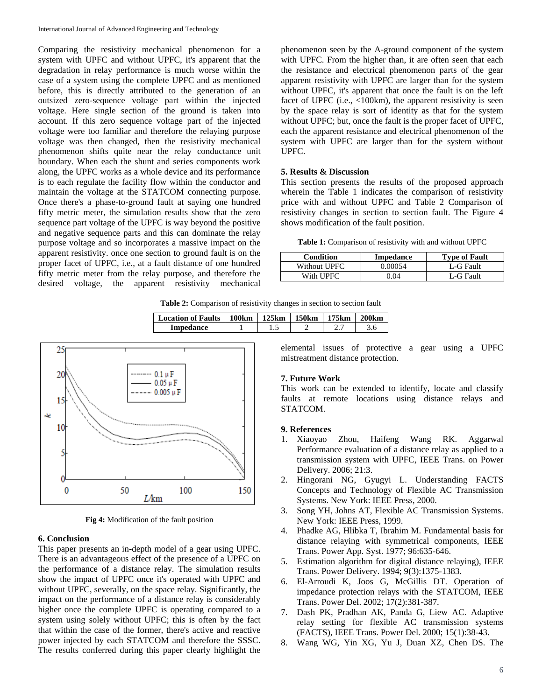Comparing the resistivity mechanical phenomenon for a system with UPFC and without UPFC, it's apparent that the degradation in relay performance is much worse within the case of a system using the complete UPFC and as mentioned before, this is directly attributed to the generation of an outsized zero-sequence voltage part within the injected voltage. Here single section of the ground is taken into account. If this zero sequence voltage part of the injected voltage were too familiar and therefore the relaying purpose voltage was then changed, then the resistivity mechanical phenomenon shifts quite near the relay conductance unit boundary. When each the shunt and series components work along, the UPFC works as a whole device and its performance is to each regulate the facility flow within the conductor and maintain the voltage at the STATCOM connecting purpose. Once there's a phase-to-ground fault at saying one hundred fifty metric meter, the simulation results show that the zero sequence part voltage of the UPFC is way beyond the positive and negative sequence parts and this can dominate the relay purpose voltage and so incorporates a massive impact on the apparent resistivity. once one section to ground fault is on the proper facet of UPFC, i.e., at a fault distance of one hundred fifty metric meter from the relay purpose, and therefore the desired voltage, the apparent resistivity mechanical phenomenon seen by the A-ground component of the system with UPFC. From the higher than, it are often seen that each the resistance and electrical phenomenon parts of the gear apparent resistivity with UPFC are larger than for the system without UPFC, it's apparent that once the fault is on the left facet of UPFC (i.e., <100km), the apparent resistivity is seen by the space relay is sort of identity as that for the system without UPFC; but, once the fault is the proper facet of UPFC, each the apparent resistance and electrical phenomenon of the system with UPFC are larger than for the system without UPFC.

#### **5. Results & Discussion**

This section presents the results of the proposed approach wherein the Table 1 indicates the comparison of resistivity price with and without UPFC and Table 2 Comparison of resistivity changes in section to section fault. The Figure 4 shows modification of the fault position.

**Table 1:** Comparison of resistivity with and without UPFC

| <b>Condition</b> | Impedance | <b>Type of Fault</b> |
|------------------|-----------|----------------------|
| Without UPFC     | Ი ᲘᲘᲘ54   | L-G Fault            |
| With UPFC.       | 04        | L-G Fault            |

**Table 2:** Comparison of resistivity changes in section to section fault

| <b>Location of Faults</b> | 100km | 125km | <b>150km</b> | 175km | 200km |
|---------------------------|-------|-------|--------------|-------|-------|
| Impedance                 |       |       |              | ، ، ، |       |



**Fig 4:** Modification of the fault position

#### **6. Conclusion**

This paper presents an in-depth model of a gear using UPFC. There is an advantageous effect of the presence of a UPFC on the performance of a distance relay. The simulation results show the impact of UPFC once it's operated with UPFC and without UPFC, severally, on the space relay. Significantly, the impact on the performance of a distance relay is considerably higher once the complete UPFC is operating compared to a system using solely without UPFC; this is often by the fact that within the case of the former, there's active and reactive power injected by each STATCOM and therefore the SSSC. The results conferred during this paper clearly highlight the elemental issues of protective a gear using a UPFC mistreatment distance protection.

### **7. Future Work**

This work can be extended to identify, locate and classify faults at remote locations using distance relays and STATCOM.

#### **9. References**

- 1. Xiaoyao Zhou, Haifeng Wang RK. Aggarwal Performance evaluation of a distance relay as applied to a transmission system with UPFC, IEEE Trans. on Power Delivery. 2006; 21:3.
- 2. Hingorani NG, Gyugyi L. Understanding FACTS Concepts and Technology of Flexible AC Transmission Systems. New York: IEEE Press, 2000.
- 3. Song YH, Johns AT, Flexible AC Transmission Systems. New York: IEEE Press, 1999.
- 4. Phadke AG, Hlibka T, Ibrahim M. Fundamental basis for distance relaying with symmetrical components, IEEE Trans. Power App. Syst. 1977; 96:635-646.
- 5. Estimation algorithm for digital distance relaying), IEEE Trans. Power Delivery. 1994; 9(3):1375-1383.
- 6. El-Arroudi K, Joos G, McGillis DT. Operation of impedance protection relays with the STATCOM, IEEE Trans. Power Del. 2002; 17(2):381-387.
- 7. Dash PK, Pradhan AK, Panda G, Liew AC. Adaptive relay setting for flexible AC transmission systems (FACTS), IEEE Trans. Power Del. 2000; 15(1):38-43.
- 8. Wang WG, Yin XG, Yu J, Duan XZ, Chen DS. The